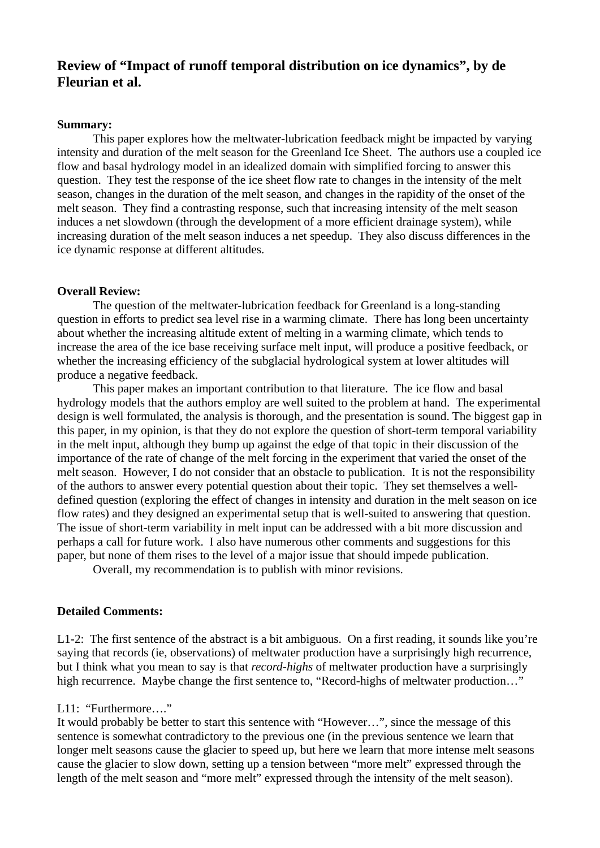# **Review of "Impact of runoff temporal distribution on ice dynamics", by de Fleurian et al.**

### **Summary:**

This paper explores how the meltwater-lubrication feedback might be impacted by varying intensity and duration of the melt season for the Greenland Ice Sheet. The authors use a coupled ice flow and basal hydrology model in an idealized domain with simplified forcing to answer this question. They test the response of the ice sheet flow rate to changes in the intensity of the melt season, changes in the duration of the melt season, and changes in the rapidity of the onset of the melt season. They find a contrasting response, such that increasing intensity of the melt season induces a net slowdown (through the development of a more efficient drainage system), while increasing duration of the melt season induces a net speedup. They also discuss differences in the ice dynamic response at different altitudes.

#### **Overall Review:**

The question of the meltwater-lubrication feedback for Greenland is a long-standing question in efforts to predict sea level rise in a warming climate. There has long been uncertainty about whether the increasing altitude extent of melting in a warming climate, which tends to increase the area of the ice base receiving surface melt input, will produce a positive feedback, or whether the increasing efficiency of the subglacial hydrological system at lower altitudes will produce a negative feedback.

This paper makes an important contribution to that literature. The ice flow and basal hydrology models that the authors employ are well suited to the problem at hand. The experimental design is well formulated, the analysis is thorough, and the presentation is sound. The biggest gap in this paper, in my opinion, is that they do not explore the question of short-term temporal variability in the melt input, although they bump up against the edge of that topic in their discussion of the importance of the rate of change of the melt forcing in the experiment that varied the onset of the melt season. However, I do not consider that an obstacle to publication. It is not the responsibility of the authors to answer every potential question about their topic. They set themselves a welldefined question (exploring the effect of changes in intensity and duration in the melt season on ice flow rates) and they designed an experimental setup that is well-suited to answering that question. The issue of short-term variability in melt input can be addressed with a bit more discussion and perhaps a call for future work. I also have numerous other comments and suggestions for this paper, but none of them rises to the level of a major issue that should impede publication.

Overall, my recommendation is to publish with minor revisions.

## **Detailed Comments:**

L1-2: The first sentence of the abstract is a bit ambiguous. On a first reading, it sounds like you're saying that records (ie, observations) of meltwater production have a surprisingly high recurrence, but I think what you mean to say is that *record-highs* of meltwater production have a surprisingly high recurrence. Maybe change the first sentence to, "Record-highs of meltwater production..."

# L11: "Furthermore…."

It would probably be better to start this sentence with "However…", since the message of this sentence is somewhat contradictory to the previous one (in the previous sentence we learn that longer melt seasons cause the glacier to speed up, but here we learn that more intense melt seasons cause the glacier to slow down, setting up a tension between "more melt" expressed through the length of the melt season and "more melt" expressed through the intensity of the melt season).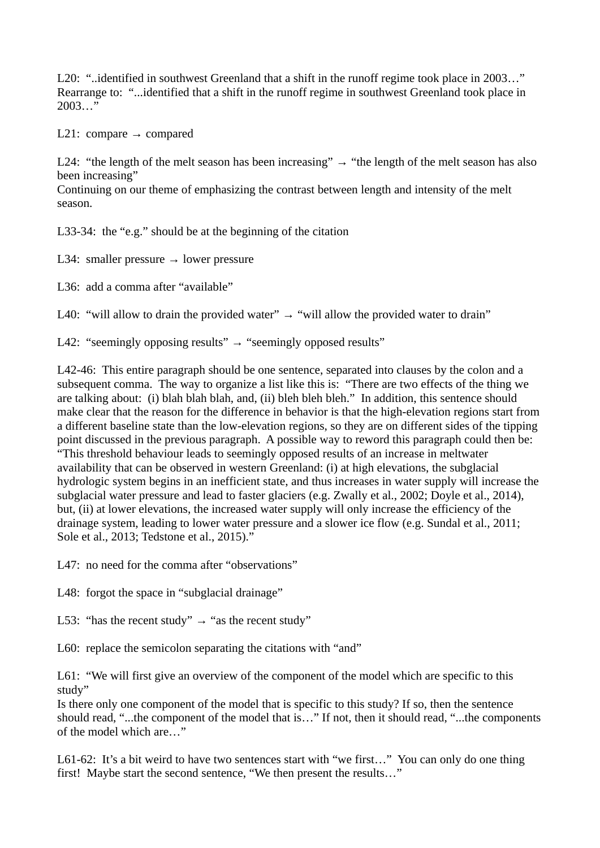L20: "..identified in southwest Greenland that a shift in the runoff regime took place in 2003…" Rearrange to: "...identified that a shift in the runoff regime in southwest Greenland took place in 2003…"

L21: compare  $\rightarrow$  compared

L24: "the length of the melt season has been increasing"  $\rightarrow$  "the length of the melt season has also been increasing"

Continuing on our theme of emphasizing the contrast between length and intensity of the melt season.

L33-34: the "e.g." should be at the beginning of the citation

L34: smaller pressure  $\rightarrow$  lower pressure

L36: add a comma after "available"

L40: "will allow to drain the provided water"  $\rightarrow$  "will allow the provided water to drain"

L42: "seemingly opposing results"  $\rightarrow$  "seemingly opposed results"

L42-46: This entire paragraph should be one sentence, separated into clauses by the colon and a subsequent comma. The way to organize a list like this is: "There are two effects of the thing we are talking about: (i) blah blah blah, and, (ii) bleh bleh bleh." In addition, this sentence should make clear that the reason for the difference in behavior is that the high-elevation regions start from a different baseline state than the low-elevation regions, so they are on different sides of the tipping point discussed in the previous paragraph. A possible way to reword this paragraph could then be: "This threshold behaviour leads to seemingly opposed results of an increase in meltwater availability that can be observed in western Greenland: (i) at high elevations, the subglacial hydrologic system begins in an inefficient state, and thus increases in water supply will increase the subglacial water pressure and lead to faster glaciers (e.g. Zwally et al., 2002; Doyle et al., 2014), but, (ii) at lower elevations, the increased water supply will only increase the efficiency of the drainage system, leading to lower water pressure and a slower ice flow (e.g. Sundal et al., 2011; Sole et al., 2013; Tedstone et al., 2015)."

L47: no need for the comma after "observations"

L48: forgot the space in "subglacial drainage"

L53: "has the recent study"  $\rightarrow$  "as the recent study"

L60: replace the semicolon separating the citations with "and"

L61: "We will first give an overview of the component of the model which are specific to this study"

Is there only one component of the model that is specific to this study? If so, then the sentence should read, "...the component of the model that is…" If not, then it should read, "...the components of the model which are…"

L61-62: It's a bit weird to have two sentences start with "we first..." You can only do one thing first! Maybe start the second sentence, "We then present the results…"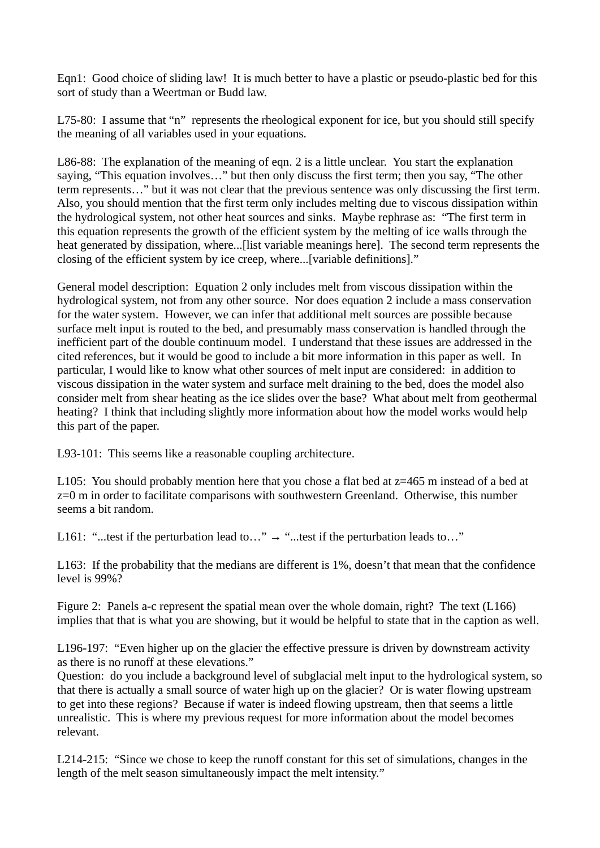Eqn1: Good choice of sliding law! It is much better to have a plastic or pseudo-plastic bed for this sort of study than a Weertman or Budd law.

L75-80: I assume that "n" represents the rheological exponent for ice, but you should still specify the meaning of all variables used in your equations.

L86-88: The explanation of the meaning of eqn. 2 is a little unclear. You start the explanation saying, "This equation involves…" but then only discuss the first term; then you say, "The other term represents…" but it was not clear that the previous sentence was only discussing the first term. Also, you should mention that the first term only includes melting due to viscous dissipation within the hydrological system, not other heat sources and sinks. Maybe rephrase as: "The first term in this equation represents the growth of the efficient system by the melting of ice walls through the heat generated by dissipation, where...[list variable meanings here]. The second term represents the closing of the efficient system by ice creep, where...[variable definitions]."

General model description: Equation 2 only includes melt from viscous dissipation within the hydrological system, not from any other source. Nor does equation 2 include a mass conservation for the water system. However, we can infer that additional melt sources are possible because surface melt input is routed to the bed, and presumably mass conservation is handled through the inefficient part of the double continuum model. I understand that these issues are addressed in the cited references, but it would be good to include a bit more information in this paper as well. In particular, I would like to know what other sources of melt input are considered: in addition to viscous dissipation in the water system and surface melt draining to the bed, does the model also consider melt from shear heating as the ice slides over the base? What about melt from geothermal heating? I think that including slightly more information about how the model works would help this part of the paper.

L93-101: This seems like a reasonable coupling architecture.

L105: You should probably mention here that you chose a flat bed at  $z=465$  m instead of a bed at z=0 m in order to facilitate comparisons with southwestern Greenland. Otherwise, this number seems a bit random.

L161: "...test if the perturbation lead to..."  $\rightarrow$  "...test if the perturbation leads to..."

L163: If the probability that the medians are different is 1%, doesn't that mean that the confidence level is 99%?

Figure 2: Panels a-c represent the spatial mean over the whole domain, right? The text (L166) implies that that is what you are showing, but it would be helpful to state that in the caption as well.

L196-197: "Even higher up on the glacier the effective pressure is driven by downstream activity as there is no runoff at these elevations."

Question: do you include a background level of subglacial melt input to the hydrological system, so that there is actually a small source of water high up on the glacier? Or is water flowing upstream to get into these regions? Because if water is indeed flowing upstream, then that seems a little unrealistic. This is where my previous request for more information about the model becomes relevant.

L214-215: "Since we chose to keep the runoff constant for this set of simulations, changes in the length of the melt season simultaneously impact the melt intensity."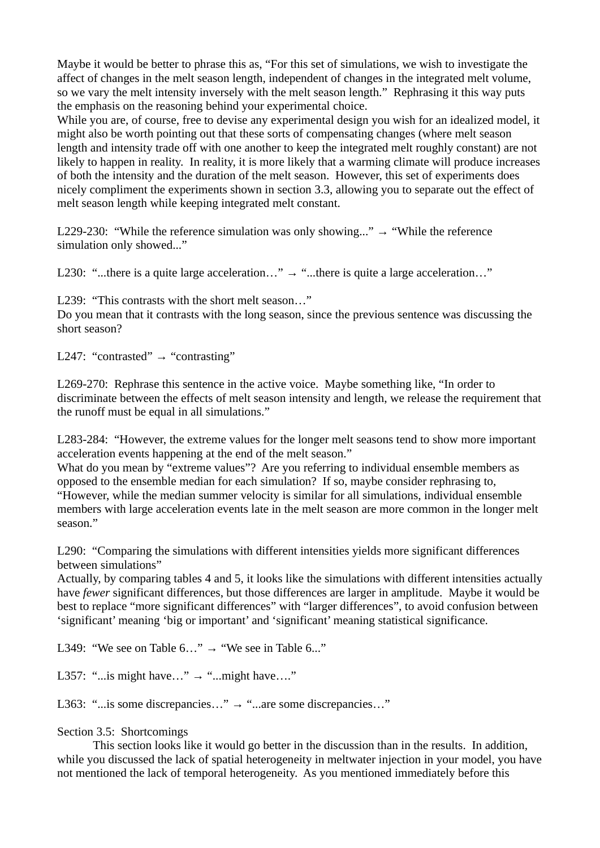Maybe it would be better to phrase this as, "For this set of simulations, we wish to investigate the affect of changes in the melt season length, independent of changes in the integrated melt volume, so we vary the melt intensity inversely with the melt season length." Rephrasing it this way puts the emphasis on the reasoning behind your experimental choice.

While you are, of course, free to devise any experimental design you wish for an idealized model, it might also be worth pointing out that these sorts of compensating changes (where melt season length and intensity trade off with one another to keep the integrated melt roughly constant) are not likely to happen in reality. In reality, it is more likely that a warming climate will produce increases of both the intensity and the duration of the melt season. However, this set of experiments does nicely compliment the experiments shown in section 3.3, allowing you to separate out the effect of melt season length while keeping integrated melt constant.

L229-230: "While the reference simulation was only showing..."  $\rightarrow$  "While the reference simulation only showed..."

L230: "...there is a quite large acceleration..."  $\rightarrow$  "...there is quite a large acceleration..."

L239: "This contrasts with the short melt season…"

Do you mean that it contrasts with the long season, since the previous sentence was discussing the short season?

L247: "contrasted" → "contrasting"

L269-270: Rephrase this sentence in the active voice. Maybe something like, "In order to discriminate between the effects of melt season intensity and length, we release the requirement that the runoff must be equal in all simulations."

L283-284: "However, the extreme values for the longer melt seasons tend to show more important acceleration events happening at the end of the melt season."

What do you mean by "extreme values"? Are you referring to individual ensemble members as opposed to the ensemble median for each simulation? If so, maybe consider rephrasing to, "However, while the median summer velocity is similar for all simulations, individual ensemble

members with large acceleration events late in the melt season are more common in the longer melt season."

L290: "Comparing the simulations with different intensities yields more significant differences between simulations"

Actually, by comparing tables 4 and 5, it looks like the simulations with different intensities actually have *fewer* significant differences, but those differences are larger in amplitude. Maybe it would be best to replace "more significant differences" with "larger differences", to avoid confusion between 'significant' meaning 'big or important' and 'significant' meaning statistical significance.

L349: "We see on Table  $6...$ "  $\rightarrow$  "We see in Table  $6...$ "

L357: "...is might have..."  $\rightarrow$  "...might have...."

L363: "...is some discrepancies..."  $\rightarrow$  "...are some discrepancies..."

Section 3.5: Shortcomings

This section looks like it would go better in the discussion than in the results. In addition, while you discussed the lack of spatial heterogeneity in meltwater injection in your model, you have not mentioned the lack of temporal heterogeneity. As you mentioned immediately before this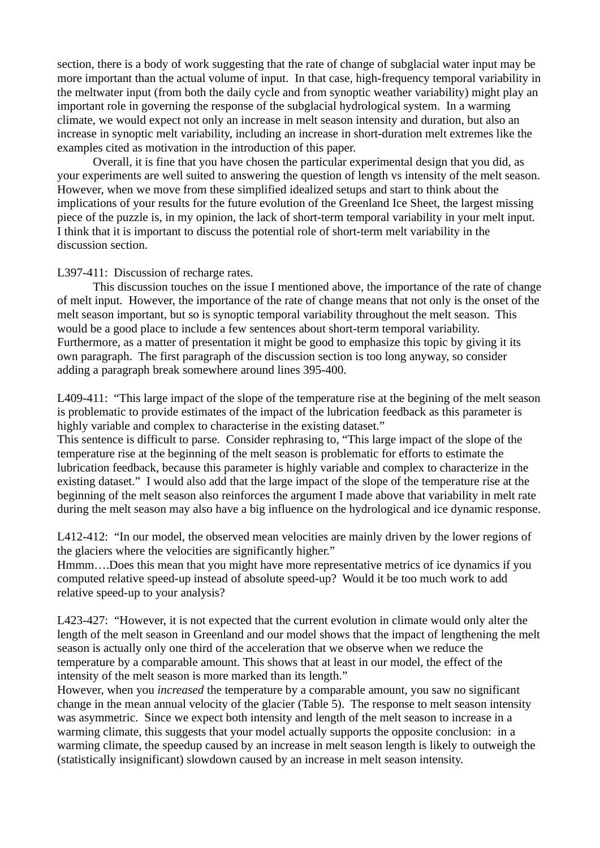section, there is a body of work suggesting that the rate of change of subglacial water input may be more important than the actual volume of input. In that case, high-frequency temporal variability in the meltwater input (from both the daily cycle and from synoptic weather variability) might play an important role in governing the response of the subglacial hydrological system. In a warming climate, we would expect not only an increase in melt season intensity and duration, but also an increase in synoptic melt variability, including an increase in short-duration melt extremes like the examples cited as motivation in the introduction of this paper.

Overall, it is fine that you have chosen the particular experimental design that you did, as your experiments are well suited to answering the question of length vs intensity of the melt season. However, when we move from these simplified idealized setups and start to think about the implications of your results for the future evolution of the Greenland Ice Sheet, the largest missing piece of the puzzle is, in my opinion, the lack of short-term temporal variability in your melt input. I think that it is important to discuss the potential role of short-term melt variability in the discussion section.

# L397-411: Discussion of recharge rates.

This discussion touches on the issue I mentioned above, the importance of the rate of change of melt input. However, the importance of the rate of change means that not only is the onset of the melt season important, but so is synoptic temporal variability throughout the melt season. This would be a good place to include a few sentences about short-term temporal variability. Furthermore, as a matter of presentation it might be good to emphasize this topic by giving it its own paragraph. The first paragraph of the discussion section is too long anyway, so consider adding a paragraph break somewhere around lines 395-400.

L409-411: "This large impact of the slope of the temperature rise at the begining of the melt season is problematic to provide estimates of the impact of the lubrication feedback as this parameter is highly variable and complex to characterise in the existing dataset."

This sentence is difficult to parse. Consider rephrasing to, "This large impact of the slope of the temperature rise at the beginning of the melt season is problematic for efforts to estimate the lubrication feedback, because this parameter is highly variable and complex to characterize in the existing dataset." I would also add that the large impact of the slope of the temperature rise at the beginning of the melt season also reinforces the argument I made above that variability in melt rate during the melt season may also have a big influence on the hydrological and ice dynamic response.

L412-412: "In our model, the observed mean velocities are mainly driven by the lower regions of the glaciers where the velocities are significantly higher."

Hmmm….Does this mean that you might have more representative metrics of ice dynamics if you computed relative speed-up instead of absolute speed-up? Would it be too much work to add relative speed-up to your analysis?

L423-427: "However, it is not expected that the current evolution in climate would only alter the length of the melt season in Greenland and our model shows that the impact of lengthening the melt season is actually only one third of the acceleration that we observe when we reduce the temperature by a comparable amount. This shows that at least in our model, the effect of the intensity of the melt season is more marked than its length."

However, when you *increased* the temperature by a comparable amount, you saw no significant change in the mean annual velocity of the glacier (Table 5). The response to melt season intensity was asymmetric. Since we expect both intensity and length of the melt season to increase in a warming climate, this suggests that your model actually supports the opposite conclusion: in a warming climate, the speedup caused by an increase in melt season length is likely to outweigh the (statistically insignificant) slowdown caused by an increase in melt season intensity.